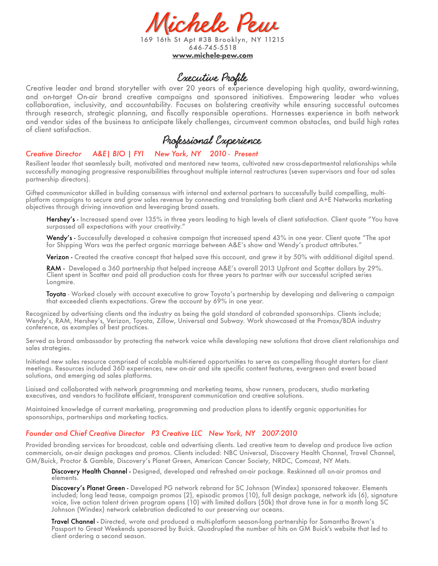

169 16th St Apt #3B Brooklyn, NY 11215 646-745-5518 **[www.michele-pew.com](http://www.michele-pew.com)**

## Executive Profile

Creative leader and brand storyteller with over 20 years of experience developing high quality, award-winning, and on-target On-air brand creative campaigns and sponsored initiatives. Empowering leader who values collaboration, inclusivity, and accountability. Focuses on bolstering creativity while ensuring successful outcomes through research, strategic planning, and fiscally responsible operations. Harnesses experience in both network and vendor sides of the business to anticipate likely challenges, circumvent common obstacles, and build high rates of client satisfaction.

# Professional Experience

## *Creative Director A&E| BIO | FYI New York, NY 2010 - Present*

Resilient leader that seamlessly built, motivated and mentored new teams, cultivated new cross-departmental relationships while successfully managing progressive responsibilities throughout multiple internal restructures (seven supervisors and four ad sales partnership directors).

Gifted communicator skilled in building consensus with internal and external partners to successfully build compelling, multiplatform campaigns to secure and grow sales revenue by connecting and translating both client and A+E Networks marketing objectives through driving innovation and leveraging brand assets.

Hershey's - Increased spend over 135% in three years leading to high levels of client satisfaction. Client quote "You have surpassed all expectations with your creativity."

Wendy's - Successfully developed a cohesive campaign that increased spend 43% in one year. Client quote "The spot for Shipping Wars was the perfect organic marriage between A&E's show and Wendy's product attributes."

Verizon - Created the creative concept that helped save this account, and grew it by 50% with additional digital spend.

RAM - Developed a 360 partnership that helped increase A&E's overall 2013 Upfront and Scatter dollars by 29%. Client spent in Scatter and paid all production costs for three years to partner with our successful scripted series Longmire.

Toyota - Worked closely with account executive to grow Toyota's partnership by developing and delivering a campaign that exceeded clients expectations. Grew the account by 69% in one year.

Recognized by advertising clients and the industry as being the gold standard of cobranded sponsorships. Clients include; Wendy's, RAM, Hershey's, Verizon, Toyota, Zillow, Universal and Subway. Work showcased at the Promax/BDA industry conference, as examples of best practices.

Served as brand ambassador by protecting the network voice while developing new solutions that drove client relationships and sales strategies.

Initiated new sales resource comprised of scalable multi-tiered opportunities to serve as compelling thought starters for client meetings. Resources included 360 experiences, new on-air and site specific content features, evergreen and event based solutions, and emerging ad sales platforms.

Liaised and collaborated with network programming and marketing teams, show runners, producers, studio marketing executives, and vendors to facilitate efficient, transparent communication and creative solutions.

Maintained knowledge of current marketing, programming and production plans to identify organic opportunities for sponsorships, partnerships and marketing tactics.

#### *Founder and Chief Creative Director P3 Creative LLC New York, NY 2007-2010*

Provided branding services for broadcast, cable and advertising clients. Led creative team to develop and produce live action commercials, on-air design packages and promos. Clients included: NBC Universal, Discovery Health Channel, Travel Channel, GM/Buick, Proctor & Gamble, Discovery's Planet Green, American Cancer Society, NRDC, Comcast, NY Mets.

Discovery Health Channel - Designed, developed and refreshed on-air package. Reskinned all on-air promos and elements.

Discovery's Planet Green - Developed PG network rebrand for SC Johnson (Windex) sponsored takeover. Elements included; long lead tease, campaign promos (2), episodic promos (10), full design package, network ids (6), signature voice, live action talent driven program opens (10) with limited dollars (50k) that drove tune in for a month long SC Johnson (Windex) network celebration dedicated to our preserving our oceans.

Travel Channel - Directed, wrote and produced a multi-platform season-long partnership for Samantha Brown's Passport to Great Weekends sponsored by Buick. Quadrupled the number of hits on GM Buick's website that led to client ordering a second season.